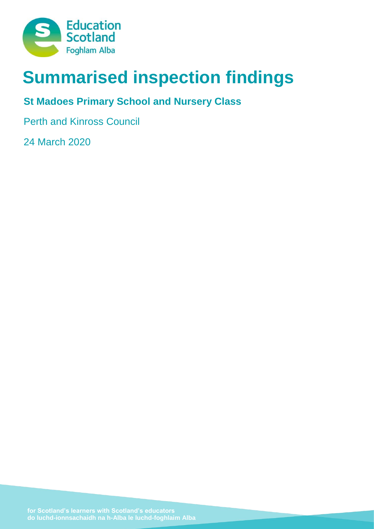

# **Summarised inspection findings**

# **St Madoes Primary School and Nursery Class**

Perth and Kinross Council

24 March 2020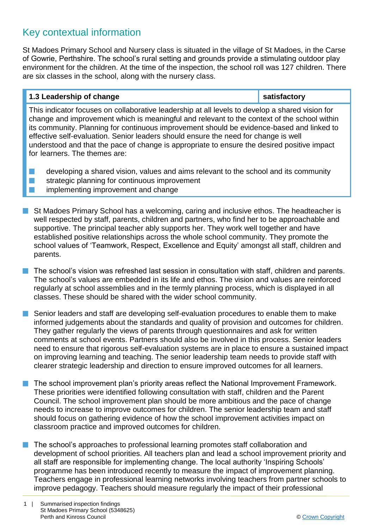### Key contextual information

St Madoes Primary School and Nursery class is situated in the village of St Madoes, in the Carse of Gowrie, Perthshire. The school's rural setting and grounds provide a stimulating outdoor play environment for the children. At the time of the inspection, the school roll was 127 children. There are six classes in the school, along with the nursery class.

#### **1.3 Leadership of change <b>satisfactory**

This indicator focuses on collaborative leadership at all levels to develop a shared vision for change and improvement which is meaningful and relevant to the context of the school within its community. Planning for continuous improvement should be evidence-based and linked to effective self-evaluation. Senior leaders should ensure the need for change is well understood and that the pace of change is appropriate to ensure the desired positive impact for learners. The themes are:

- $\blacksquare$  developing a shared vision, values and aims relevant to the school and its community
- $\blacksquare$  strategic planning for continuous improvement
- **n** implementing improvement and change
- **n** St Madoes Primary School has a welcoming, caring and inclusive ethos. The headteacher is well respected by staff, parents, children and partners, who find her to be approachable and supportive. The principal teacher ably supports her. They work well together and have established positive relationships across the whole school community. They promote the school values of 'Teamwork, Respect, Excellence and Equity' amongst all staff, children and parents.
- The school's vision was refreshed last session in consultation with staff, children and parents. The school's values are embedded in its life and ethos. The vision and values are reinforced regularly at school assemblies and in the termly planning process, which is displayed in all classes. These should be shared with the wider school community.
- **n** Senior leaders and staff are developing self-evaluation procedures to enable them to make informed judgements about the standards and quality of provision and outcomes for children. They gather regularly the views of parents through questionnaires and ask for written comments at school events. Partners should also be involved in this process. Senior leaders need to ensure that rigorous self-evaluation systems are in place to ensure a sustained impact on improving learning and teaching. The senior leadership team needs to provide staff with clearer strategic leadership and direction to ensure improved outcomes for all learners.
- $\blacksquare$  The school improvement plan's priority areas reflect the National Improvement Framework. These priorities were identified following consultation with staff, children and the Parent Council. The school improvement plan should be more ambitious and the pace of change needs to increase to improve outcomes for children. The senior leadership team and staff should focus on gathering evidence of how the school improvement activities impact on classroom practice and improved outcomes for children.
- The school's approaches to professional learning promotes staff collaboration and development of school priorities. All teachers plan and lead a school improvement priority and all staff are responsible for implementing change. The local authority 'Inspiring Schools' programme has been introduced recently to measure the impact of improvement planning. Teachers engage in professional learning networks involving teachers from partner schools to improve pedagogy. Teachers should measure regularly the impact of their professional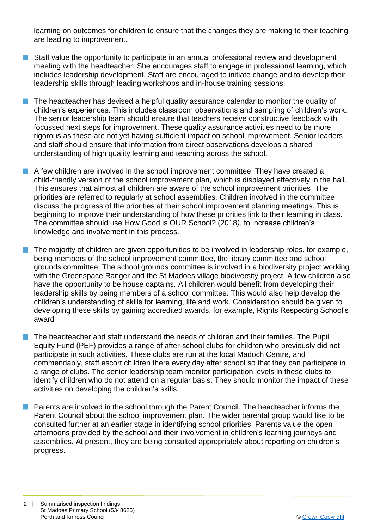learning on outcomes for children to ensure that the changes they are making to their teaching are leading to improvement.

- Staff value the opportunity to participate in an annual professional review and development meeting with the headteacher. She encourages staff to engage in professional learning, which includes leadership development. Staff are encouraged to initiate change and to develop their leadership skills through leading workshops and in-house training sessions.
- $\blacksquare$  The headteacher has devised a helpful quality assurance calendar to monitor the quality of children's experiences. This includes classroom observations and sampling of children's work. The senior leadership team should ensure that teachers receive constructive feedback with focussed next steps for improvement. These quality assurance activities need to be more rigorous as these are not yet having sufficient impact on school improvement. Senior leaders and staff should ensure that information from direct observations develops a shared understanding of high quality learning and teaching across the school.
- $\blacksquare$  A few children are involved in the school improvement committee. They have created a child-friendly version of the school improvement plan, which is displayed effectively in the hall. This ensures that almost all children are aware of the school improvement priorities. The priorities are referred to regularly at school assemblies. Children involved in the committee discuss the progress of the priorities at their school improvement planning meetings. This is beginning to improve their understanding of how these priorities link to their learning in class. The committee should use How Good is OUR School? (2018*)*, to increase children's knowledge and involvement in this process.
	- n The majority of children are given opportunities to be involved in leadership roles, for example, being members of the school improvement committee, the library committee and school grounds committee. The school grounds committee is involved in a biodiversity project working with the Greenspace Ranger and the St Madoes village biodiversity project. A few children also have the opportunity to be house captains. All children would benefit from developing their leadership skills by being members of a school committee. This would also help develop the children's understanding of skills for learning, life and work. Consideration should be given to developing these skills by gaining accredited awards, for example, Rights Respecting School's award
- n The headteacher and staff understand the needs of children and their families. The Pupil Equity Fund (PEF) provides a range of after-school clubs for children who previously did not participate in such activities. These clubs are run at the local Madoch Centre, and commendably, staff escort children there every day after school so that they can participate in a range of clubs. The senior leadership team monitor participation levels in these clubs to identify children who do not attend on a regular basis. They should monitor the impact of these activities on developing the children's skills.
- n Parents are involved in the school through the Parent Council. The headteacher informs the Parent Council about the school improvement plan. The wider parental group would like to be consulted further at an earlier stage in identifying school priorities. Parents value the open afternoons provided by the school and their involvement in children's learning journeys and assemblies. At present, they are being consulted appropriately about reporting on children's progress.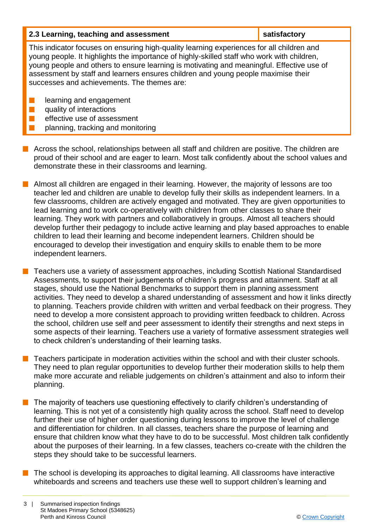| 2.3 Learning, teaching and assessment                                                                                                                                                                                                                                                                                                                                                                                    | satisfactory |  |
|--------------------------------------------------------------------------------------------------------------------------------------------------------------------------------------------------------------------------------------------------------------------------------------------------------------------------------------------------------------------------------------------------------------------------|--------------|--|
| This indicator focuses on ensuring high-quality learning experiences for all children and<br>young people. It highlights the importance of highly-skilled staff who work with children,<br>young people and others to ensure learning is motivating and meaningful. Effective use of<br>assessment by staff and learners ensures children and young people maximise their<br>successes and achievements. The themes are: |              |  |
| learning and engagement<br>quality of interactions<br>effective use of assessment<br>planning, tracking and monitoring                                                                                                                                                                                                                                                                                                   |              |  |

- $\blacksquare$  Across the school, relationships between all staff and children are positive. The children are proud of their school and are eager to learn. Most talk confidently about the school values and demonstrate these in their classrooms and learning.
- **n** Almost all children are engaged in their learning. However, the majority of lessons are too teacher led and children are unable to develop fully their skills as independent learners. In a few classrooms, children are actively engaged and motivated. They are given opportunities to lead learning and to work co-operatively with children from other classes to share their learning. They work with partners and collaboratively in groups. Almost all teachers should develop further their pedagogy to include active learning and play based approaches to enable children to lead their learning and become independent learners. Children should be encouraged to develop their investigation and enquiry skills to enable them to be more independent learners.
- Teachers use a variety of assessment approaches, including Scottish National Standardised Assessments, to support their judgements of children's progress and attainment. Staff at all stages, should use the National Benchmarks to support them in planning assessment activities. They need to develop a shared understanding of assessment and how it links directly to planning. Teachers provide children with written and verbal feedback on their progress. They need to develop a more consistent approach to providing written feedback to children. Across the school, children use self and peer assessment to identify their strengths and next steps in some aspects of their learning. Teachers use a variety of formative assessment strategies well to check children's understanding of their learning tasks.
- n Teachers participate in moderation activities within the school and with their cluster schools. They need to plan regular opportunities to develop further their moderation skills to help them make more accurate and reliable judgements on children's attainment and also to inform their planning.
- The majority of teachers use questioning effectively to clarify children's understanding of learning. This is not yet of a consistently high quality across the school. Staff need to develop further their use of higher order questioning during lessons to improve the level of challenge and differentiation for children. In all classes, teachers share the purpose of learning and ensure that children know what they have to do to be successful. Most children talk confidently about the purposes of their learning. In a few classes, teachers co-create with the children the steps they should take to be successful learners.
- $\blacksquare$  The school is developing its approaches to digital learning. All classrooms have interactive whiteboards and screens and teachers use these well to support children's learning and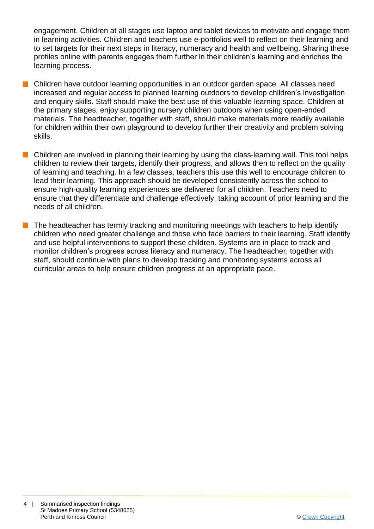engagement. Children at all stages use laptop and tablet devices to motivate and engage them in learning activities. Children and teachers use e-portfolios well to reflect on their learning and to set targets for their next steps in literacy, numeracy and health and wellbeing. Sharing these profiles online with parents engages them further in their children's learning and enriches the learning process.

- n Children have outdoor learning opportunities in an outdoor garden space. All classes need increased and regular access to planned learning outdoors to develop children's investigation and enquiry skills. Staff should make the best use of this valuable learning space. Children at the primary stages, enjoy supporting nursery children outdoors when using open-ended materials. The headteacher, together with staff, should make materials more readily available for children within their own playground to develop further their creativity and problem solving skills.
- $\blacksquare$  Children are involved in planning their learning by using the class-learning wall. This tool helps children to review their targets, identify their progress, and allows then to reflect on the quality of learning and teaching. In a few classes, teachers this use this well to encourage children to lead their learning. This approach should be developed consistently across the school to ensure high-quality learning experiences are delivered for all children. Teachers need to ensure that they differentiate and challenge effectively, taking account of prior learning and the needs of all children.
- The headteacher has termly tracking and monitoring meetings with teachers to help identify children who need greater challenge and those who face barriers to their learning. Staff identify and use helpful interventions to support these children. Systems are in place to track and monitor children's progress across literacy and numeracy. The headteacher, together with staff, should continue with plans to develop tracking and monitoring systems across all curricular areas to help ensure children progress at an appropriate pace.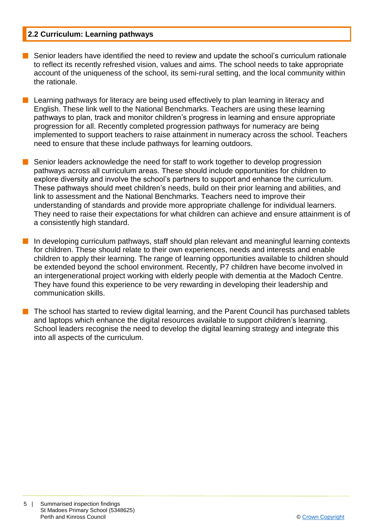#### **2.2 Curriculum: Learning pathways**

- Senior leaders have identified the need to review and update the school's curriculum rationale to reflect its recently refreshed vision, values and aims. The school needs to take appropriate account of the uniqueness of the school, its semi-rural setting, and the local community within the rationale.
- **n** Learning pathways for literacy are being used effectively to plan learning in literacy and English. These link well to the National Benchmarks. Teachers are using these learning pathways to plan, track and monitor children's progress in learning and ensure appropriate progression for all. Recently completed progression pathways for numeracy are being implemented to support teachers to raise attainment in numeracy across the school. Teachers need to ensure that these include pathways for learning outdoors.
- Senior leaders acknowledge the need for staff to work together to develop progression pathways across all curriculum areas. These should include opportunities for children to explore diversity and involve the school's partners to support and enhance the curriculum. These pathways should meet children's needs, build on their prior learning and abilities, and link to assessment and the National Benchmarks. Teachers need to improve their understanding of standards and provide more appropriate challenge for individual learners. They need to raise their expectations for what children can achieve and ensure attainment is of a consistently high standard.
- $\blacksquare$  In developing curriculum pathways, staff should plan relevant and meaningful learning contexts for children. These should relate to their own experiences, needs and interests and enable children to apply their learning. The range of learning opportunities available to children should be extended beyond the school environment. Recently, P7 children have become involved in an intergenerational project working with elderly people with dementia at the Madoch Centre. They have found this experience to be very rewarding in developing their leadership and communication skills.
	- n The school has started to review digital learning, and the Parent Council has purchased tablets and laptops which enhance the digital resources available to support children's learning. School leaders recognise the need to develop the digital learning strategy and integrate this into all aspects of the curriculum.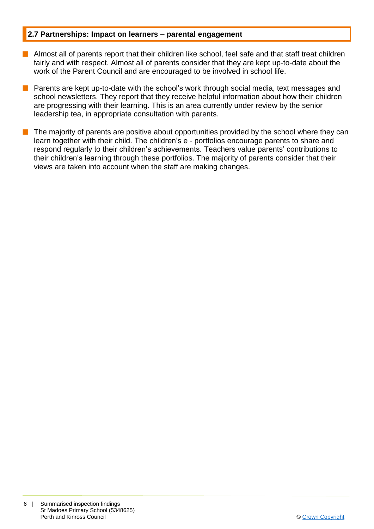#### **2.7 Partnerships: Impact on learners – parental engagement**

- **n** Almost all of parents report that their children like school, feel safe and that staff treat children fairly and with respect. Almost all of parents consider that they are kept up-to-date about the work of the Parent Council and are encouraged to be involved in school life.
- Parents are kept up-to-date with the school's work through social media, text messages and school newsletters. They report that they receive helpful information about how their children are progressing with their learning. This is an area currently under review by the senior leadership tea, in appropriate consultation with parents.
- The majority of parents are positive about opportunities provided by the school where they can learn together with their child. The children's e - portfolios encourage parents to share and respond regularly to their children's achievements. Teachers value parents' contributions to their children's learning through these portfolios. The majority of parents consider that their views are taken into account when the staff are making changes.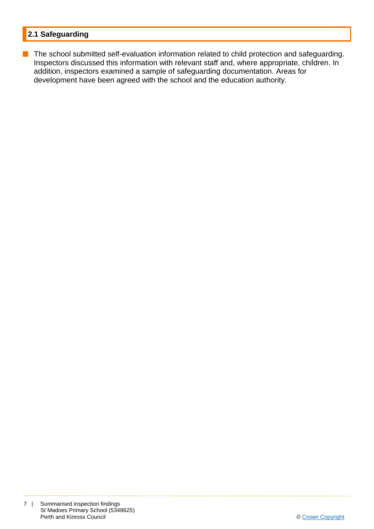#### **2.1 Safeguarding**

**n** The school submitted self-evaluation information related to child protection and safeguarding. Inspectors discussed this information with relevant staff and, where appropriate, children. In addition, inspectors examined a sample of safeguarding documentation. Areas for development have been agreed with the school and the education authority.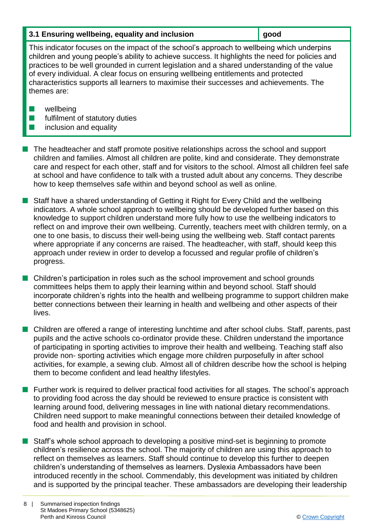| 3.1 Ensuring wellbeing, equality and inclusion | ∥ good |
|------------------------------------------------|--------|
|------------------------------------------------|--------|

This indicator focuses on the impact of the school's approach to wellbeing which underpins children and young people's ability to achieve success. It highlights the need for policies and practices to be well grounded in current legislation and a shared understanding of the value of every individual. A clear focus on ensuring wellbeing entitlements and protected characteristics supports all learners to maximise their successes and achievements. The themes are:

- $\blacksquare$  wellbeing
- $\blacksquare$  fulfilment of statutory duties
- $\blacksquare$  inclusion and equality

n The headteacher and staff promote positive relationships across the school and support children and families. Almost all children are polite, kind and considerate. They demonstrate care and respect for each other, staff and for visitors to the school. Almost all children feel safe at school and have confidence to talk with a trusted adult about any concerns. They describe how to keep themselves safe within and beyond school as well as online.

■ Staff have a shared understanding of Getting it Right for Every Child and the wellbeing indicators. A whole school approach to wellbeing should be developed further based on this knowledge to support children understand more fully how to use the wellbeing indicators to reflect on and improve their own wellbeing. Currently, teachers meet with children termly, on a one to one basis, to discuss their well-being using the wellbeing web. Staff contact parents where appropriate if any concerns are raised. The headteacher, with staff, should keep this approach under review in order to develop a focussed and regular profile of children's progress.

■ Children's participation in roles such as the school improvement and school grounds committees helps them to apply their learning within and beyond school. Staff should incorporate children's rights into the health and wellbeing programme to support children make better connections between their learning in health and wellbeing and other aspects of their lives.

**n** Children are offered a range of interesting lunchtime and after school clubs. Staff, parents, past pupils and the active schools co-ordinator provide these. Children understand the importance of participating in sporting activities to improve their health and wellbeing. Teaching staff also provide non- sporting activities which engage more children purposefully in after school activities, for example, a sewing club. Almost all of children describe how the school is helping them to become confident and lead healthy lifestyles.

■ Further work is required to deliver practical food activities for all stages. The school's approach to providing food across the day should be reviewed to ensure practice is consistent with learning around food, delivering messages in line with national dietary recommendations. Children need support to make meaningful connections between their detailed knowledge of food and health and provision in school.

■ Staff's whole school approach to developing a positive mind-set is beginning to promote children's resilience across the school. The majority of children are using this approach to reflect on themselves as learners. Staff should continue to develop this further to deepen children's understanding of themselves as learners. Dyslexia Ambassadors have been introduced recently in the school. Commendably, this development was initiated by children and is supported by the principal teacher. These ambassadors are developing their leadership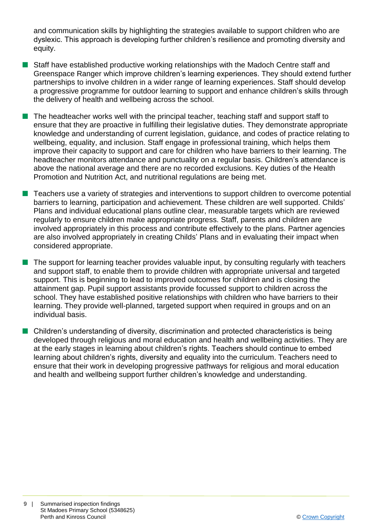and communication skills by highlighting the strategies available to support children who are dyslexic. This approach is developing further children's resilience and promoting diversity and equity.

- **n** Staff have established productive working relationships with the Madoch Centre staff and Greenspace Ranger which improve children's learning experiences. They should extend further partnerships to involve children in a wider range of learning experiences. Staff should develop a progressive programme for outdoor learning to support and enhance children's skills through the delivery of health and wellbeing across the school.
- $\blacksquare$  The headteacher works well with the principal teacher, teaching staff and support staff to ensure that they are proactive in fulfilling their legislative duties. They demonstrate appropriate knowledge and understanding of current legislation, guidance, and codes of practice relating to wellbeing, equality, and inclusion. Staff engage in professional training, which helps them improve their capacity to support and care for children who have barriers to their learning. The headteacher monitors attendance and punctuality on a regular basis. Children's attendance is above the national average and there are no recorded exclusions. Key duties of the Health Promotion and Nutrition Act, and nutritional regulations are being met.
- **n** Teachers use a variety of strategies and interventions to support children to overcome potential barriers to learning, participation and achievement. These children are well supported. Childs' Plans and individual educational plans outline clear, measurable targets which are reviewed regularly to ensure children make appropriate progress. Staff, parents and children are involved appropriately in this process and contribute effectively to the plans. Partner agencies are also involved appropriately in creating Childs' Plans and in evaluating their impact when considered appropriate.
- $\blacksquare$  The support for learning teacher provides valuable input, by consulting regularly with teachers and support staff, to enable them to provide children with appropriate universal and targeted support. This is beginning to lead to improved outcomes for children and is closing the attainment gap. Pupil support assistants provide focussed support to children across the school. They have established positive relationships with children who have barriers to their learning. They provide well-planned, targeted support when required in groups and on an individual basis.
- $\blacksquare$  Children's understanding of diversity, discrimination and protected characteristics is being developed through religious and moral education and health and wellbeing activities. They are at the early stages in learning about children's rights. Teachers should continue to embed learning about children's rights, diversity and equality into the curriculum. Teachers need to ensure that their work in developing progressive pathways for religious and moral education and health and wellbeing support further children's knowledge and understanding.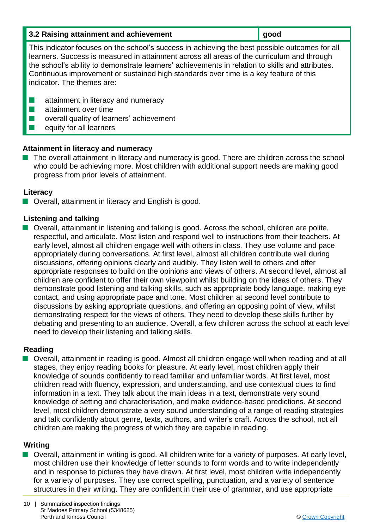| 3.2 Raising attainment and achievement | good |
|----------------------------------------|------|
|----------------------------------------|------|

This indicator focuses on the school's success in achieving the best possible outcomes for all learners. Success is measured in attainment across all areas of the curriculum and through the school's ability to demonstrate learners' achievements in relation to skills and attributes. Continuous improvement or sustained high standards over time is a key feature of this indicator. The themes are:

- $\blacksquare$  attainment in literacy and numeracy
- $\blacksquare$  attainment over time
- $\blacksquare$  overall quality of learners' achievement
- $\blacksquare$  equity for all learners

#### **Attainment in literacy and numeracy**

The overall attainment in literacy and numeracy is good. There are children across the school who could be achieving more. Most children with additional support needs are making good progress from prior levels of attainment.

#### **Literacy**

 $\blacksquare$  Overall, attainment in literacy and English is good.

#### **Listening and talking**

■ Overall, attainment in listening and talking is good. Across the school, children are polite, respectful, and articulate. Most listen and respond well to instructions from their teachers. At early level, almost all children engage well with others in class. They use volume and pace appropriately during conversations. At first level, almost all children contribute well during discussions, offering opinions clearly and audibly. They listen well to others and offer appropriate responses to build on the opinions and views of others. At second level, almost all children are confident to offer their own viewpoint whilst building on the ideas of others. They demonstrate good listening and talking skills, such as appropriate body language, making eye contact, and using appropriate pace and tone. Most children at second level contribute to discussions by asking appropriate questions, and offering an opposing point of view, whilst demonstrating respect for the views of others. They need to develop these skills further by debating and presenting to an audience. Overall, a few children across the school at each level need to develop their listening and talking skills.

#### **Reading**

■ Overall, attainment in reading is good. Almost all children engage well when reading and at all stages, they enjoy reading books for pleasure. At early level, most children apply their knowledge of sounds confidently to read familiar and unfamiliar words. At first level, most children read with fluency, expression, and understanding, and use contextual clues to find information in a text. They talk about the main ideas in a text, demonstrate very sound knowledge of setting and characterisation, and make evidence-based predictions. At second level, most children demonstrate a very sound understanding of a range of reading strategies and talk confidently about genre, texts, authors, and writer's craft. Across the school, not all children are making the progress of which they are capable in reading.

#### **Writing**

■ Overall, attainment in writing is good. All children write for a variety of purposes. At early level, most children use their knowledge of letter sounds to form words and to write independently and in response to pictures they have drawn. At first level, most children write independently for a variety of purposes. They use correct spelling, punctuation, and a variety of sentence structures in their writing. They are confident in their use of grammar, and use appropriate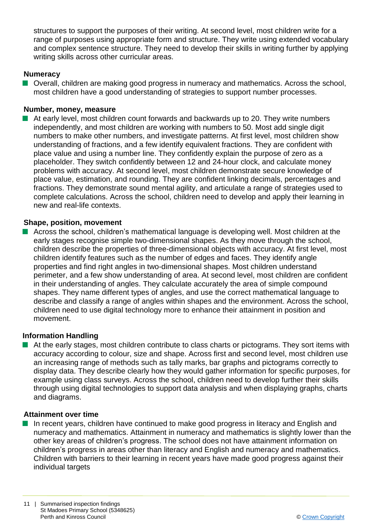structures to support the purposes of their writing. At second level, most children write for a range of purposes using appropriate form and structure. They write using extended vocabulary and complex sentence structure. They need to develop their skills in writing further by applying writing skills across other curricular areas.

#### **Numeracy**

■ Overall, children are making good progress in numeracy and mathematics. Across the school, most children have a good understanding of strategies to support number processes.

#### **Number, money, measure**

 $\blacksquare$  At early level, most children count forwards and backwards up to 20. They write numbers independently, and most children are working with numbers to 50. Most add single digit numbers to make other numbers, and investigate patterns. At first level, most children show understanding of fractions, and a few identify equivalent fractions. They are confident with place value and using a number line. They confidently explain the purpose of zero as a placeholder. They switch confidently between 12 and 24-hour clock, and calculate money problems with accuracy. At second level, most children demonstrate secure knowledge of place value, estimation, and rounding. They are confident linking decimals, percentages and fractions. They demonstrate sound mental agility, and articulate a range of strategies used to complete calculations. Across the school, children need to develop and apply their learning in new and real-life contexts.

#### **Shape, position, movement**

n Across the school, children's mathematical language is developing well. Most children at the early stages recognise simple two-dimensional shapes. As they move through the school, children describe the properties of three-dimensional objects with accuracy. At first level, most children identify features such as the number of edges and faces. They identify angle properties and find right angles in two-dimensional shapes. Most children understand perimeter, and a few show understanding of area. At second level, most children are confident in their understanding of angles. They calculate accurately the area of simple compound shapes. They name different types of angles, and use the correct mathematical language to describe and classify a range of angles within shapes and the environment. Across the school, children need to use digital technology more to enhance their attainment in position and movement.

#### **Information Handling**

**n** At the early stages, most children contribute to class charts or pictograms. They sort items with accuracy according to colour, size and shape. Across first and second level, most children use an increasing range of methods such as tally marks, bar graphs and pictograms correctly to display data. They describe clearly how they would gather information for specific purposes, for example using class surveys. Across the school, children need to develop further their skills through using digital technologies to support data analysis and when displaying graphs, charts and diagrams.

#### **Attainment over time**

n In recent years, children have continued to make good progress in literacy and English and numeracy and mathematics. Attainment in numeracy and mathematics is slightly lower than the other key areas of children's progress. The school does not have attainment information on children's progress in areas other than literacy and English and numeracy and mathematics. Children with barriers to their learning in recent years have made good progress against their individual targets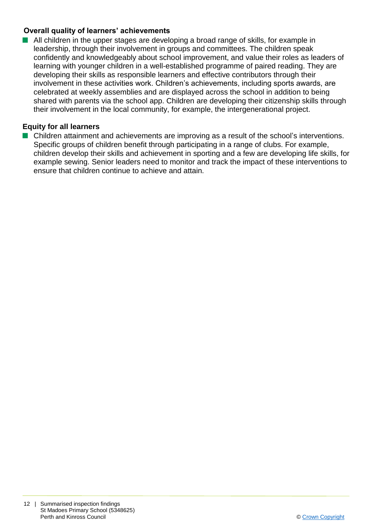#### **Overall quality of learners' achievements**

■ All children in the upper stages are developing a broad range of skills, for example in leadership, through their involvement in groups and committees. The children speak confidently and knowledgeably about school improvement, and value their roles as leaders of learning with younger children in a well-established programme of paired reading. They are developing their skills as responsible learners and effective contributors through their involvement in these activities work. Children's achievements, including sports awards, are celebrated at weekly assemblies and are displayed across the school in addition to being shared with parents via the school app. Children are developing their citizenship skills through their involvement in the local community, for example, the intergenerational project.

#### **Equity for all learners**

■ Children attainment and achievements are improving as a result of the school's interventions. Specific groups of children benefit through participating in a range of clubs. For example, children develop their skills and achievement in sporting and a few are developing life skills, for example sewing. Senior leaders need to monitor and track the impact of these interventions to ensure that children continue to achieve and attain.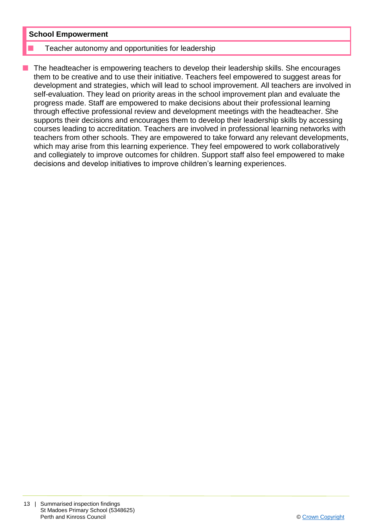#### **School Empowerment**

#### Teacher autonomy and opportunities for leadership

n The headteacher is empowering teachers to develop their leadership skills. She encourages them to be creative and to use their initiative. Teachers feel empowered to suggest areas for development and strategies, which will lead to school improvement. All teachers are involved in self-evaluation. They lead on priority areas in the school improvement plan and evaluate the progress made. Staff are empowered to make decisions about their professional learning through effective professional review and development meetings with the headteacher. She supports their decisions and encourages them to develop their leadership skills by accessing courses leading to accreditation. Teachers are involved in professional learning networks with teachers from other schools. They are empowered to take forward any relevant developments, which may arise from this learning experience. They feel empowered to work collaboratively and collegiately to improve outcomes for children. Support staff also feel empowered to make decisions and develop initiatives to improve children's learning experiences.